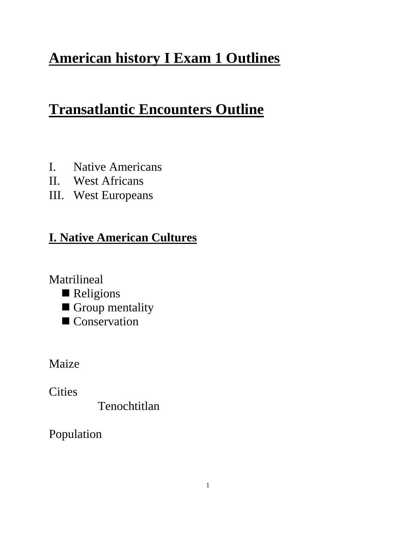# **American history I Exam 1 Outlines**

# **Transatlantic Encounters Outline**

- I. Native Americans
- II. West Africans
- III. West Europeans

## **I. Native American Cultures**

Matrilineal

- Religions
- Group mentality
- Conservation

Maize

**Cities** 

Tenochtitlan

Population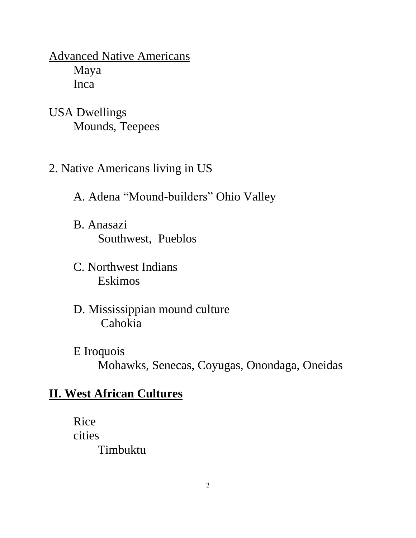Advanced Native Americans Maya Inca

- USA Dwellings Mounds, Teepees
- 2. Native Americans living in US
	- A. Adena "Mound-builders" Ohio Valley
	- B. Anasazi Southwest, Pueblos
	- C. Northwest Indians Eskimos
	- D. Mississippian mound culture Cahokia
	- E Iroquois Mohawks, Senecas, Coyugas, Onondaga, Oneidas

### **II. West African Cultures**

Rice cities Timbuktu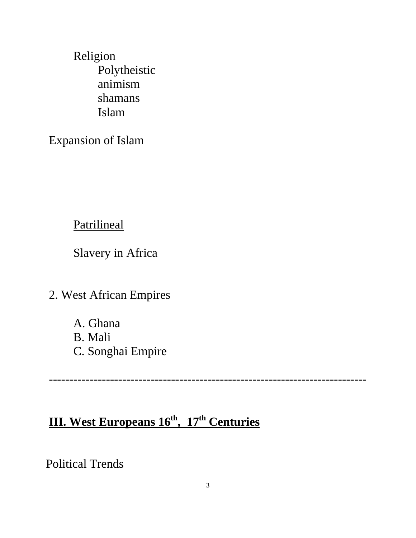Religion Polytheistic animism shamans Islam

Expansion of Islam

**Patrilineal** 

Slavery in Africa

2. West African Empires

A. Ghana B. Mali C. Songhai Empire

------------------------------------------------------------------------------

## **III. West Europeans 16th , 17th Centuries**

Political Trends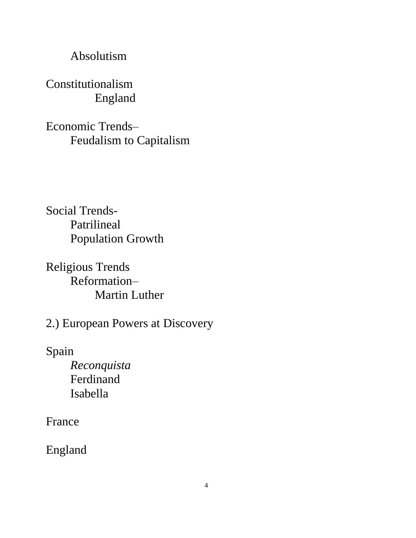#### Absolutism

### Constitutionalism England

Economic Trends– Feudalism to Capitalism

Social Trends-Patrilineal Population Growth

Religious Trends Reformation– Martin Luther

2.) European Powers at Discovery

Spain *Reconquista* Ferdinand Isabella

France

England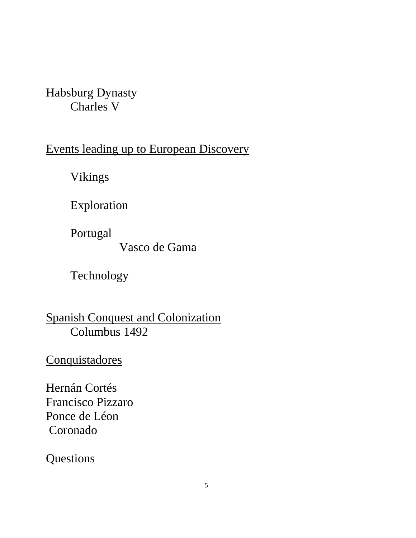Habsburg Dynasty Charles V

#### Events leading up to European Discovery

Vikings

Exploration

Portugal

Vasco de Gama

Technology

Spanish Conquest and Colonization Columbus 1492

**Conquistadores** 

Hernán Cortés Francisco Pizzaro Ponce de Léon Coronado

#### **Questions**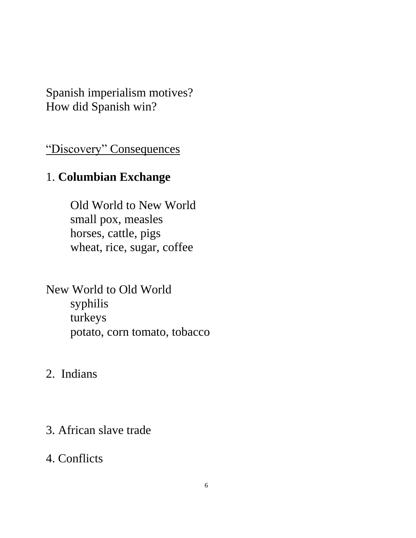Spanish imperialism motives? How did Spanish win?

"Discovery" Consequences

### 1. **Columbian Exchange**

Old World to New World small pox, measles horses, cattle, pigs wheat, rice, sugar, coffee

New World to Old World syphilis turkeys potato, corn tomato, tobacco

2. Indians

#### 3. African slave trade

### 4. Conflicts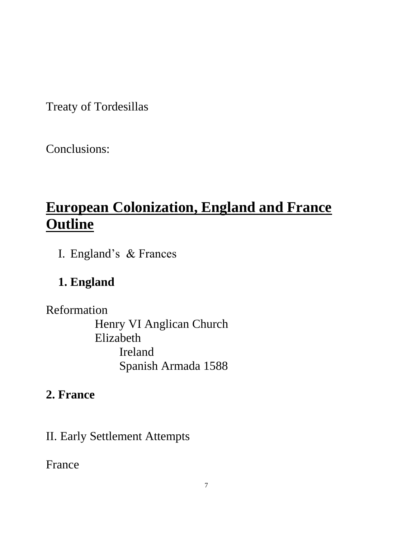Treaty of Tordesillas

Conclusions:

# **European Colonization, England and France Outline**

I. England's & Frances

### **1. England**

Reformation Henry VI Anglican Church Elizabeth Ireland Spanish Armada 1588

### **2. France**

II. Early Settlement Attempts

France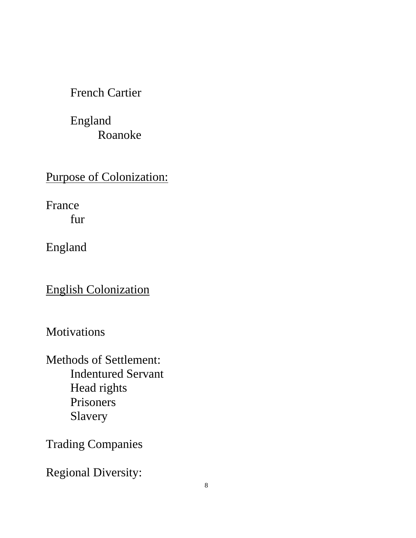French Cartier

England Roanoke

Purpose of Colonization:

France fur

England

English Colonization

**Motivations** 

Methods of Settlement: Indentured Servant Head rights Prisoners Slavery

Trading Companies

Regional Diversity: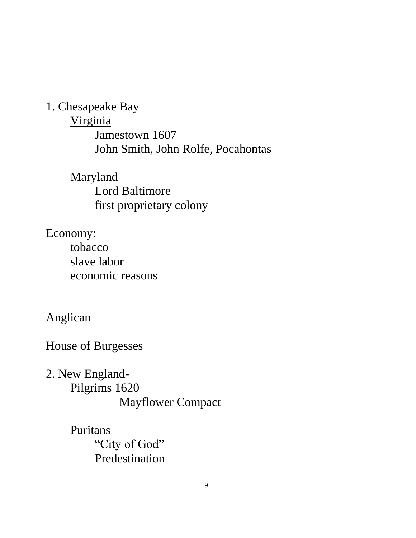1. Chesapeake Bay Virginia Jamestown 1607 John Smith, John Rolfe, Pocahontas

> Maryland Lord Baltimore first proprietary colony

Economy: tobacco slave labor economic reasons

Anglican

House of Burgesses

2. New England-Pilgrims 1620 Mayflower Compact

> Puritans "City of God" Predestination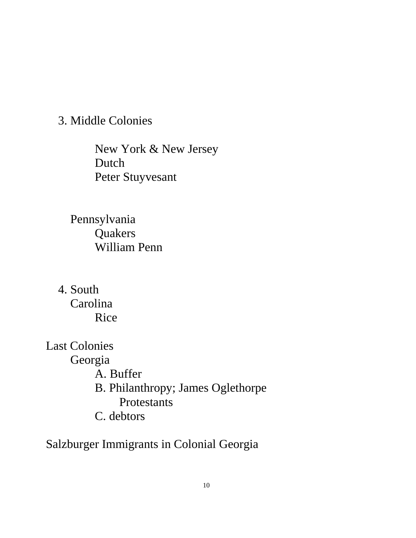#### 3. Middle Colonies

New York & New Jersey Dutch Peter Stuyvesant

Pennsylvania **Quakers** William Penn

4. South Carolina Rice

Last Colonies Georgia A. Buffer B. Philanthropy; James Oglethorpe Protestants C. debtors

Salzburger Immigrants in Colonial Georgia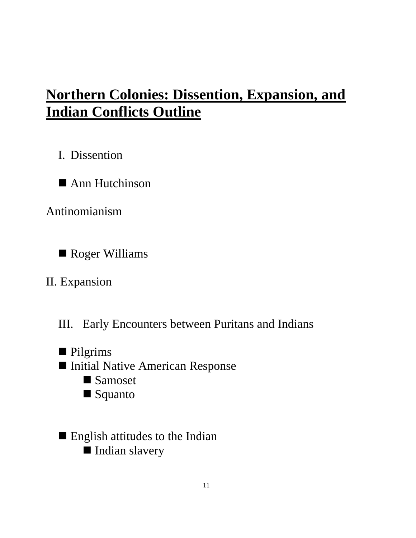# **Northern Colonies: Dissention, Expansion, and Indian Conflicts Outline**

I. Dissention

■ Ann Hutchinson

Antinomianism

Roger Williams

II. Expansion

III. Early Encounters between Puritans and Indians

■ Pilgrims ■ Initial Native American Response ■ Samoset ■ Squanto

**English attitudes to the Indian** Indian slavery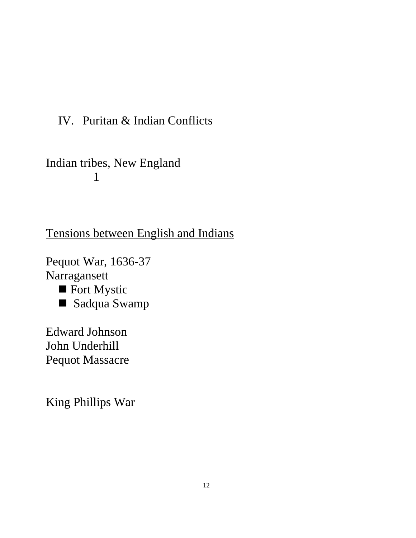### IV. Puritan & Indian Conflicts

Indian tribes, New England 1

Tensions between English and Indians

Pequot War, 1636-37 Narragansett **Fort Mystic** 



Edward Johnson John Underhill Pequot Massacre

King Phillips War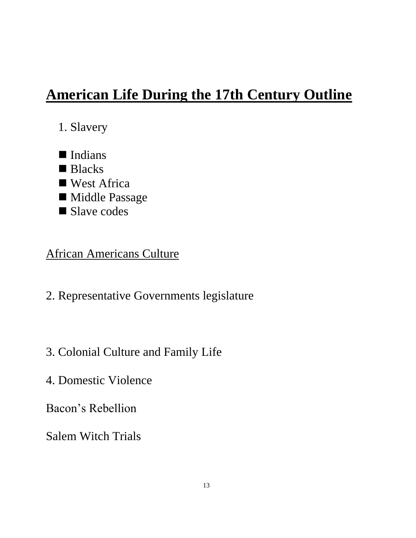# **American Life During the 17th Century Outline**

1. Slavery

**Indians** ■ Blacks ■ West Africa Middle Passage Slave codes

### African Americans Culture

- 2. Representative Governments legislature
- 3. Colonial Culture and Family Life
- 4. Domestic Violence

Bacon's Rebellion

Salem Witch Trials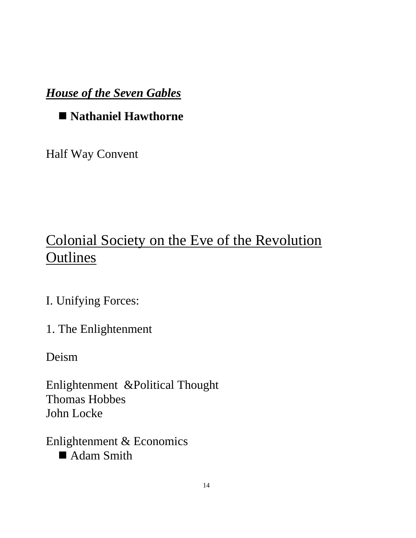## *House of the Seven Gables*

# **Nathaniel Hawthorne**

Half Way Convent

# Colonial Society on the Eve of the Revolution **Outlines**

I. Unifying Forces:

1. The Enlightenment

Deism

Enlightenment &Political Thought Thomas Hobbes John Locke

Enlightenment & Economics ■ Adam Smith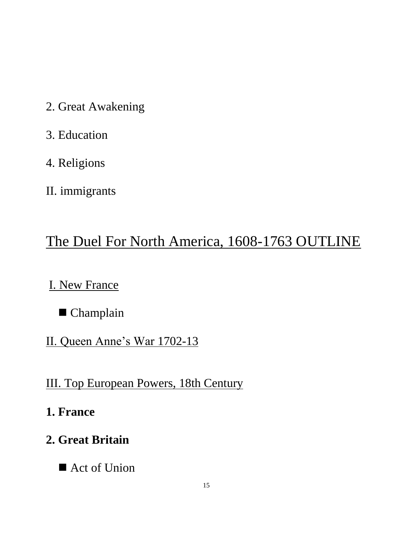- 2. Great Awakening
- 3. Education
- 4. Religions
- II. immigrants

# The Duel For North America, 1608-1763 OUTLINE

### I. New France

## Champlain

II. Queen Anne's War 1702-13

### III. Top European Powers, 18th Century

### **1. France**

# **2. Great Britain**

■ Act of Union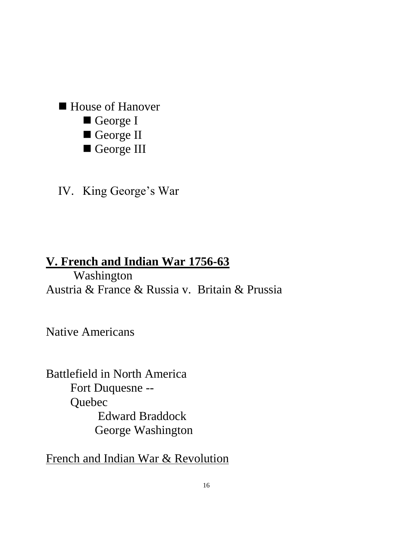■ House of Hanover George I George II George III

IV. King George's War

### **V. French and Indian War 1756-63** Washington Austria & France & Russia v. Britain & Prussia

Native Americans

Battlefield in North America Fort Duquesne -- Quebec Edward Braddock George Washington

French and Indian War & Revolution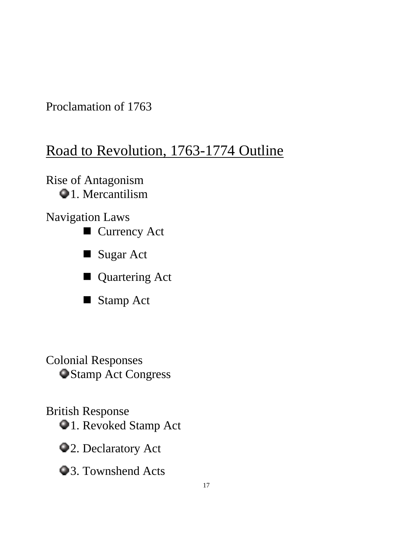Proclamation of 1763

# Road to Revolution, 1763-1774 Outline

Rise of Antagonism  $\bigcirc$  1. Mercantilism

Navigation Laws

- Currency Act
- Sugar Act
- **Quartering Act**
- Stamp Act

Colonial Responses Stamp Act Congress

British Response 1. Revoked Stamp Act

2. Declaratory Act

 $\bigcirc$  3. Townshend Acts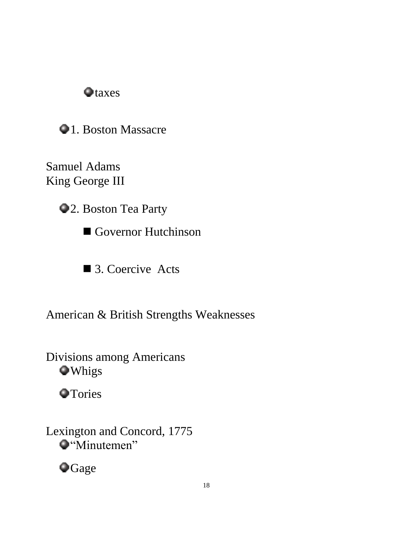

 $\bigcirc$  1. Boston Massacre

Samuel Adams King George III

2. Boston Tea Party

Governor Hutchinson

■ 3. Coercive Acts

American & British Strengths Weaknesses

Divisions among Americans Whigs

**O**Tories

Lexington and Concord, 1775 "Minutemen"

**O**Gage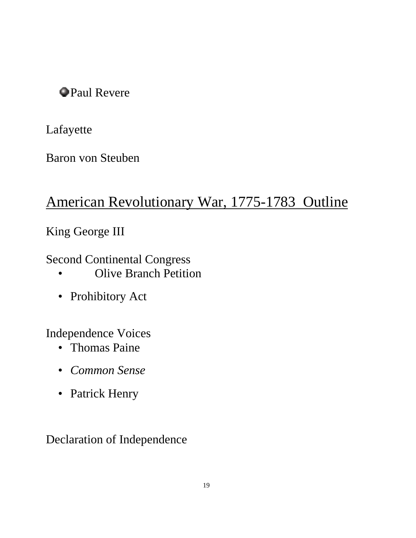## Paul Revere

Lafayette

Baron von Steuben

# American Revolutionary War, 1775-1783 Outline

## King George III

Second Continental Congress

- Olive Branch Petition
- Prohibitory Act

### Independence Voices

- Thomas Paine
- *Common Sense*
- Patrick Henry

Declaration of Independence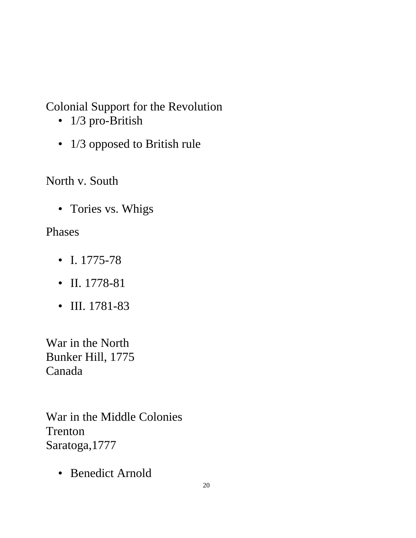# Colonial Support for the Revolution

- 1/3 pro-British
- 1/3 opposed to British rule

North v. South

• Tories vs. Whigs

## Phases

- I. 1775-78
- II. 1778-81
- III. 1781-83

War in the North Bunker Hill, 1775 Canada

War in the Middle Colonies Trenton Saratoga,1777

• Benedict Arnold